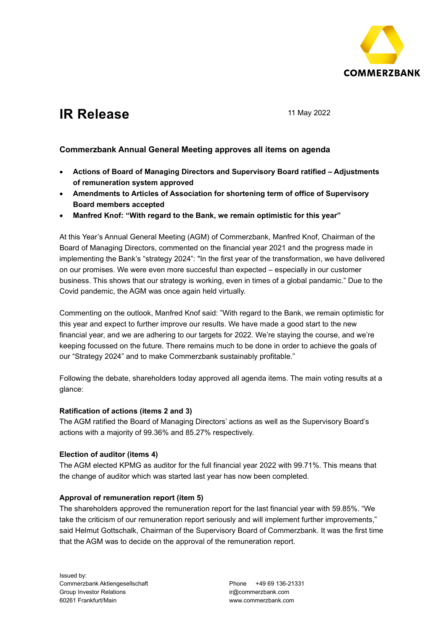

# **IR Release** 11 May 2022

# **Commerzbank Annual General Meeting approves all items on agenda**

- **Actions of Board of Managing Directors and Supervisory Board ratified – Adjustments of remuneration system approved**
- **Amendments to Articles of Association for shortening term of office of Supervisory Board members accepted**
- **Manfred Knof: "With regard to the Bank, we remain optimistic for this year"**

At this Year's Annual General Meeting (AGM) of Commerzbank, Manfred Knof, Chairman of the Board of Managing Directors, commented on the financial year 2021 and the progress made in implementing the Bank's "strategy 2024": "In the first year of the transformation, we have delivered on our promises. We were even more succesful than expected – especially in our customer business. This shows that our strategy is working, even in times of a global pandamic." Due to the Covid pandemic, the AGM was once again held virtually.

Commenting on the outlook, Manfred Knof said: "With regard to the Bank, we remain optimistic for this year and expect to further improve our results. We have made a good start to the new financial year, and we are adhering to our targets for 2022. We're staying the course, and we're keeping focussed on the future. There remains much to be done in order to achieve the goals of our "Strategy 2024" and to make Commerzbank sustainably profitable."

Following the debate, shareholders today approved all agenda items. The main voting results at a glance:

## **Ratification of actions (items 2 and 3)**

The AGM ratified the Board of Managing Directors' actions as well as the Supervisory Board's actions with a majority of 99.36% and 85.27% respectively.

## **Election of auditor (items 4)**

The AGM elected KPMG as auditor for the full financial year 2022 with 99.71%. This means that the change of auditor which was started last year has now been completed.

## **Approval of remuneration report (item 5)**

The shareholders approved the remuneration report for the last financial year with 59.85%. "We take the criticism of our remuneration report seriously and will implement further improvements," said Helmut Gottschalk, Chairman of the Supervisory Board of Commerzbank. It was the first time that the AGM was to decide on the approval of the remuneration report.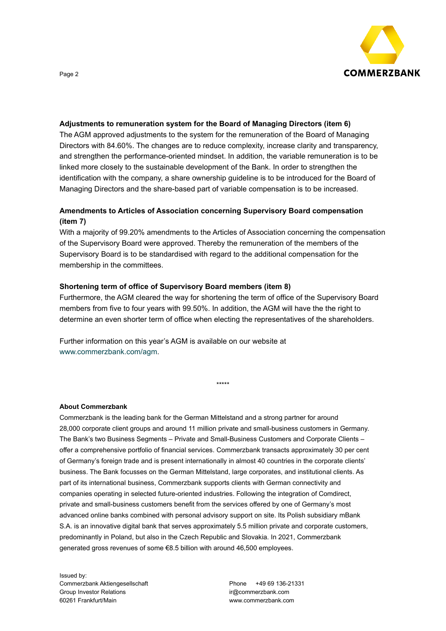

# **Adjustments to remuneration system for the Board of Managing Directors (item 6)**

The AGM approved adjustments to the system for the remuneration of the Board of Managing Directors with 84.60%. The changes are to reduce complexity, increase clarity and transparency, and strengthen the performance-oriented mindset. In addition, the variable remuneration is to be linked more closely to the sustainable development of the Bank. In order to strengthen the identification with the company, a share ownership guideline is to be introduced for the Board of Managing Directors and the share-based part of variable compensation is to be increased.

# **Amendments to Articles of Association concerning Supervisory Board compensation (item 7)**

With a majority of 99.20% amendments to the Articles of Association concerning the compensation of the Supervisory Board were approved. Thereby the remuneration of the members of the Supervisory Board is to be standardised with regard to the additional compensation for the membership in the committees.

# **Shortening term of office of Supervisory Board members (item 8)**

Furthermore, the AGM cleared the way for shortening the term of office of the Supervisory Board members from five to four years with 99.50%. In addition, the AGM will have the the right to determine an even shorter term of office when electing the representatives of the shareholders.

\*\*\*\*\*

Further information on this year's AGM is available on our website at [www.commerzbank.com/agm.](http://www.commerzbank.com/agm)

#### **About Commerzbank**

Commerzbank is the leading bank for the German Mittelstand and a strong partner for around 28,000 corporate client groups and around 11 million private and small-business customers in Germany. The Bank's two Business Segments – Private and Small-Business Customers and Corporate Clients – offer a comprehensive portfolio of financial services. Commerzbank transacts approximately 30 per cent of Germany's foreign trade and is present internationally in almost 40 countries in the corporate clients' business. The Bank focusses on the German Mittelstand, large corporates, and institutional clients. As part of its international business, Commerzbank supports clients with German connectivity and companies operating in selected future-oriented industries. Following the integration of Comdirect, private and small-business customers benefit from the services offered by one of Germany's most advanced online banks combined with personal advisory support on site. Its Polish subsidiary mBank S.A. is an innovative digital bank that serves approximately 5.5 million private and corporate customers, predominantly in Poland, but also in the Czech Republic and Slovakia. In 2021, Commerzbank generated gross revenues of some €8.5 billion with around 46,500 employees.

Issued by: Commerzbank Aktiengesellschaft Group Investor Relations 60261 Frankfurt/Main

Phone +49 69 136-21331 ir@commerzbank.com www.commerzbank.com

Page 2